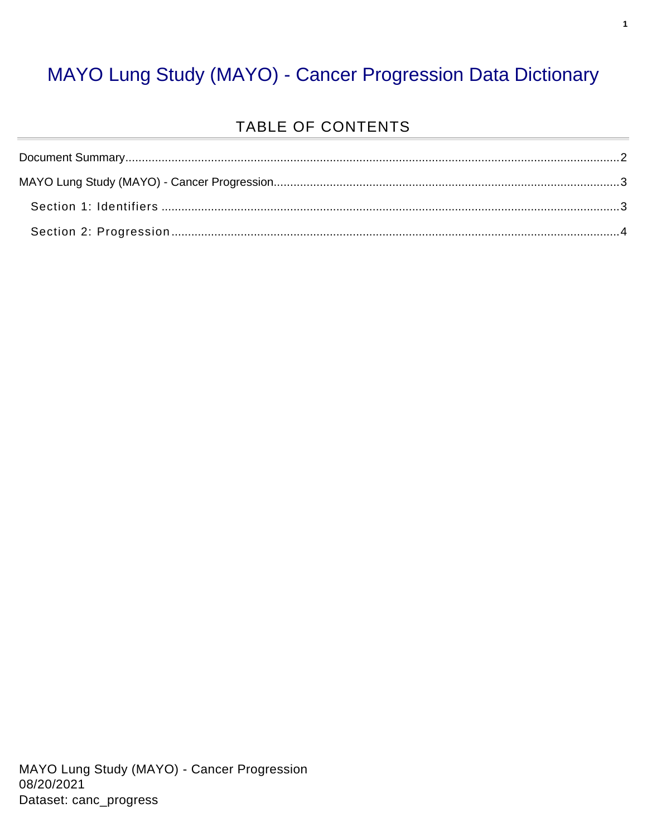### MAYO Lung Study (MAYO) - Cancer Progression Data Dictionary

#### TABLE OF CONTENTS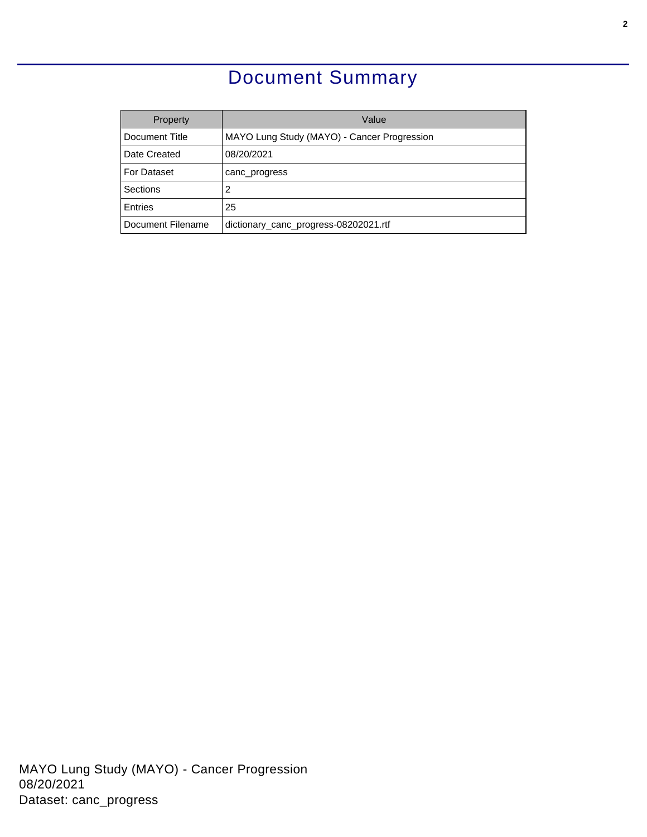### Document Summary

<span id="page-1-0"></span>

| Property          | Value                                       |
|-------------------|---------------------------------------------|
| Document Title    | MAYO Lung Study (MAYO) - Cancer Progression |
| Date Created      | 08/20/2021                                  |
| For Dataset       | canc_progress                               |
| Sections          | 2                                           |
| Entries           | 25                                          |
| Document Filename | dictionary_canc_progress-08202021.rtf       |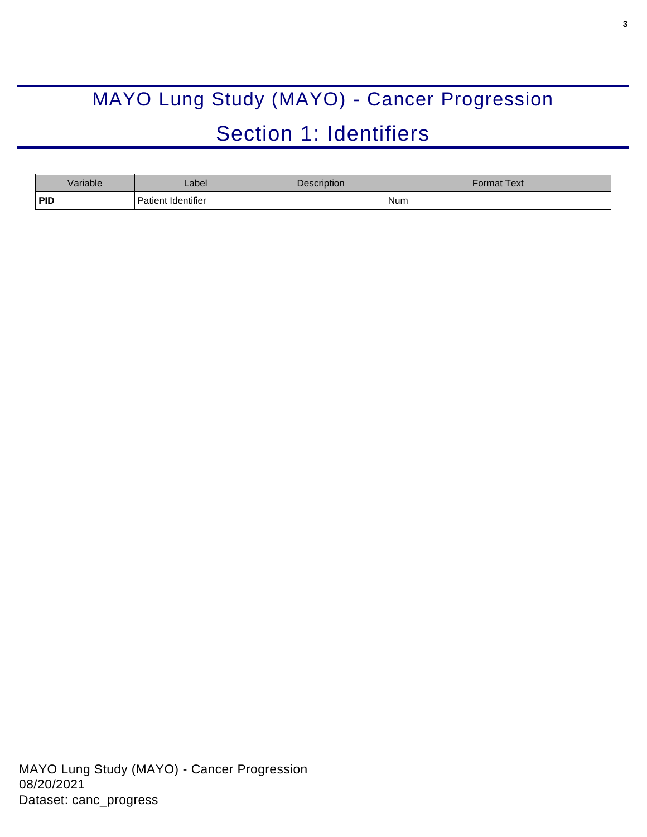# <span id="page-2-0"></span>MAYO Lung Study (MAYO) - Cancer Progression Section 1: Identifiers

<span id="page-2-1"></span>

| Variable   | _abel                     | <b>Description</b> | Format Text <sup>-</sup> |
|------------|---------------------------|--------------------|--------------------------|
| <b>PID</b> | <b>Patient Identifier</b> |                    | Num                      |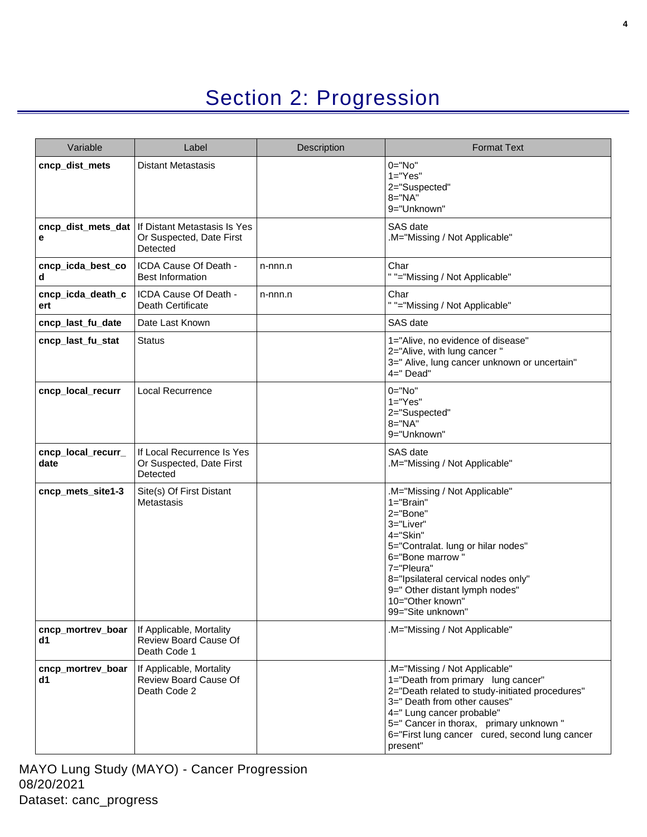## Section 2: Progression

<span id="page-3-0"></span>

| Variable                   | Label                                                                                     | Description | <b>Format Text</b>                                                                                                                                                                                                                                                                           |
|----------------------------|-------------------------------------------------------------------------------------------|-------------|----------------------------------------------------------------------------------------------------------------------------------------------------------------------------------------------------------------------------------------------------------------------------------------------|
| cncp_dist_mets             | <b>Distant Metastasis</b>                                                                 |             | $0 = "No"$<br>$1 = "Yes"$<br>2="Suspected"<br>$8 = "NA"$<br>9="Unknown"                                                                                                                                                                                                                      |
| е                          | cncp_dist_mets_dat   If Distant Metastasis Is Yes<br>Or Suspected, Date First<br>Detected |             | SAS date<br>M="Missing / Not Applicable"                                                                                                                                                                                                                                                     |
| cncp_icda_best_co<br>d     | ICDA Cause Of Death -<br><b>Best Information</b>                                          | n-nnn.n     | Char<br>" "="Missing / Not Applicable"                                                                                                                                                                                                                                                       |
| cncp_icda_death_c<br>ert   | ICDA Cause Of Death -<br><b>Death Certificate</b>                                         | n-nnn.n     | Char<br>" "="Missing / Not Applicable"                                                                                                                                                                                                                                                       |
| cncp_last_fu_date          | Date Last Known                                                                           |             | SAS date                                                                                                                                                                                                                                                                                     |
| cncp last fu stat          | Status                                                                                    |             | 1="Alive, no evidence of disease"<br>2="Alive, with lung cancer"<br>3=" Alive, lung cancer unknown or uncertain"<br>$4=$ " Dead"                                                                                                                                                             |
| cncp_local_recurr          | <b>Local Recurrence</b>                                                                   |             | $0 = "No"$<br>$1="Yes"$<br>2="Suspected"<br>$8 = "NA"$<br>9="Unknown"                                                                                                                                                                                                                        |
| cncp_local_recurr_<br>date | If Local Recurrence Is Yes<br>Or Suspected, Date First<br>Detected                        |             | SAS date<br>.M="Missing / Not Applicable"                                                                                                                                                                                                                                                    |
| cncp_mets_site1-3          | Site(s) Of First Distant<br>Metastasis                                                    |             | .M="Missing / Not Applicable"<br>$1 = "Brain"$<br>2="Bone"<br>3="Liver"<br>4="Skin"<br>5="Contralat. lung or hilar nodes"<br>6="Bone marrow"<br>7="Pleura"<br>8="Ipsilateral cervical nodes only"<br>9=" Other distant lymph nodes"<br>10="Other known"<br>99="Site unknown"                 |
| cncp_mortrev_boar<br>d1    | If Applicable, Mortality<br>Review Board Cause Of<br>Death Code 1                         |             | M="Missing / Not Applicable"                                                                                                                                                                                                                                                                 |
| cncp_mortrev_boar<br>d1    | If Applicable, Mortality<br>Review Board Cause Of<br>Death Code 2                         |             | .M="Missing / Not Applicable"<br>1="Death from primary lung cancer"<br>2="Death related to study-initiated procedures"<br>3=" Death from other causes"<br>4=" Lung cancer probable"<br>5=" Cancer in thorax, primary unknown "<br>6="First lung cancer cured, second lung cancer<br>present" |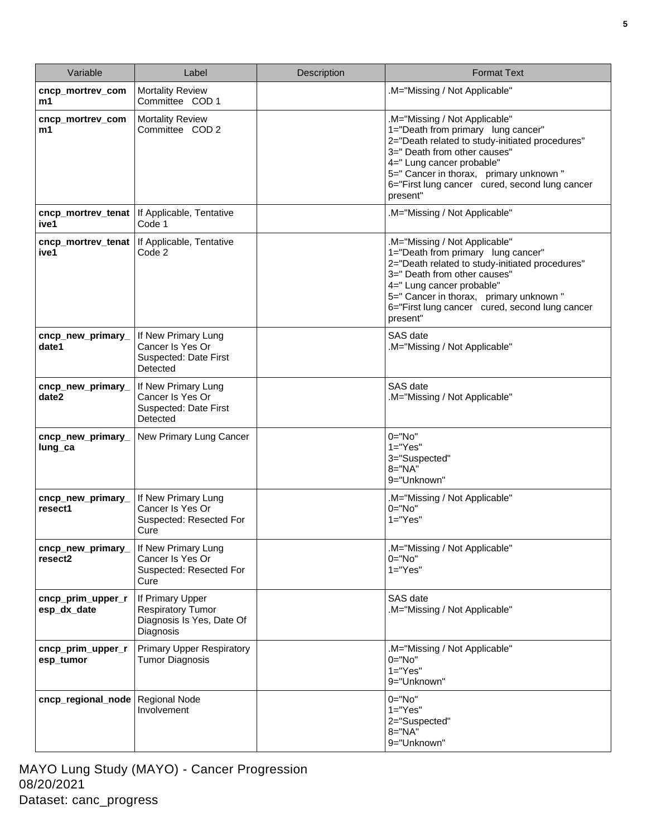| Variable                         | Label                                                                                  | <b>Description</b> | <b>Format Text</b>                                                                                                                                                                                                                                                                           |
|----------------------------------|----------------------------------------------------------------------------------------|--------------------|----------------------------------------------------------------------------------------------------------------------------------------------------------------------------------------------------------------------------------------------------------------------------------------------|
| cncp_mortrev_com<br>m1           | <b>Mortality Review</b><br>Committee COD 1                                             |                    | M="Missing / Not Applicable"                                                                                                                                                                                                                                                                 |
| cncp_mortrev_com<br>m1           | <b>Mortality Review</b><br>Committee COD 2                                             |                    | .M="Missing / Not Applicable"<br>1="Death from primary lung cancer"<br>2="Death related to study-initiated procedures"<br>3=" Death from other causes"<br>4=" Lung cancer probable"<br>5=" Cancer in thorax, primary unknown"<br>6="First lung cancer cured, second lung cancer<br>present"  |
| cncp_mortrev_tenat<br>ive1       | If Applicable, Tentative<br>Code 1                                                     |                    | .M="Missing / Not Applicable"                                                                                                                                                                                                                                                                |
| cncp_mortrev_tenat<br>ive1       | If Applicable, Tentative<br>Code 2                                                     |                    | .M="Missing / Not Applicable"<br>1="Death from primary lung cancer"<br>2="Death related to study-initiated procedures"<br>3=" Death from other causes"<br>4=" Lung cancer probable"<br>5=" Cancer in thorax, primary unknown "<br>6="First lung cancer cured, second lung cancer<br>present" |
| cncp_new_primary_<br>date1       | If New Primary Lung<br>Cancer Is Yes Or<br>Suspected: Date First<br>Detected           |                    | SAS date<br>.M="Missing / Not Applicable"                                                                                                                                                                                                                                                    |
| cncp_new_primary_<br>date2       | If New Primary Lung<br>Cancer Is Yes Or<br>Suspected: Date First<br>Detected           |                    | SAS date<br>.M="Missing / Not Applicable"                                                                                                                                                                                                                                                    |
| cncp_new_primary_<br>lung_ca     | New Primary Lung Cancer                                                                |                    | $0 = "No"$<br>$1 = "Yes"$<br>3="Suspected"<br>$8 = "NA"$<br>9="Unknown"                                                                                                                                                                                                                      |
| cncp_new_primary_<br>resect1     | If New Primary Lung<br>Cancer Is Yes Or<br>Suspected: Resected For<br>Cure             |                    | .M="Missing / Not Applicable"<br>$0 = "No"$<br>$1 = "Yes"$                                                                                                                                                                                                                                   |
| cncp_new_primary_<br>resect2     | If New Primary Lung<br>Cancer Is Yes Or<br>Suspected: Resected For<br>Cure             |                    | .M="Missing / Not Applicable"<br>$0 = "No"$<br>$1 = "Yes"$                                                                                                                                                                                                                                   |
| cncp_prim_upper_r<br>esp_dx_date | If Primary Upper<br><b>Respiratory Tumor</b><br>Diagnosis Is Yes, Date Of<br>Diagnosis |                    | SAS date<br>.M="Missing / Not Applicable"                                                                                                                                                                                                                                                    |
| cncp_prim_upper_r<br>esp_tumor   | <b>Primary Upper Respiratory</b><br><b>Tumor Diagnosis</b>                             |                    | .M="Missing / Not Applicable"<br>$0 = "No"$<br>$1 = "Yes"$<br>9="Unknown"                                                                                                                                                                                                                    |
| cncp_regional_node               | <b>Regional Node</b><br>Involvement                                                    |                    | $0 = "No"$<br>$1="Yes"$<br>2="Suspected"<br>$8 = "NA"$<br>9="Unknown"                                                                                                                                                                                                                        |